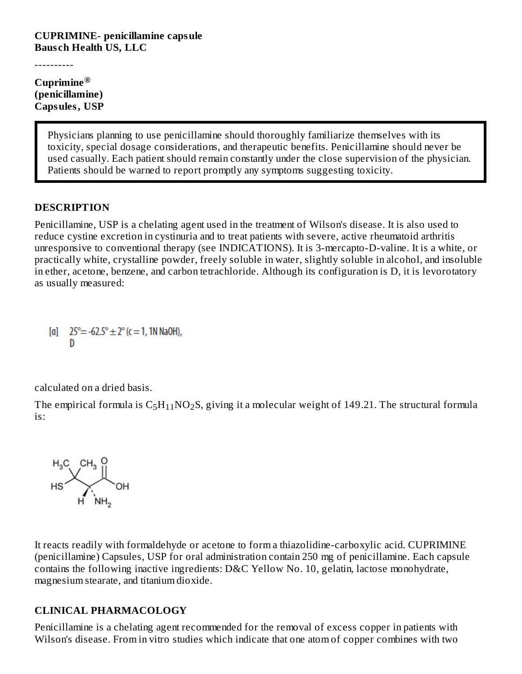### **CUPRIMINE- penicillamine capsule Baus ch Health US, LLC**

----------

**Cuprimine ® (penicillamine) Capsules, USP**

> Physicians planning to use penicillamine should thoroughly familiarize themselves with its toxicity, special dosage considerations, and therapeutic benefits. Penicillamine should never be used casually. Each patient should remain constantly under the close supervision of the physician. Patients should be warned to report promptly any symptoms suggesting toxicity.

#### **DESCRIPTION**

Penicillamine, USP is a chelating agent used in the treatment of Wilson's disease. It is also used to reduce cystine excretion in cystinuria and to treat patients with severe, active rheumatoid arthritis unresponsive to conventional therapy (see INDICATIONS). It is 3-mercapto-D-valine. It is a white, or practically white, crystalline powder, freely soluble in water, slightly soluble in alcohol, and insoluble in ether, acetone, benzene, and carbon tetrachloride. Although its configuration is D, it is levorotatory as usually measured:

$$
\begin{array}{ll} [a] & 25^{\circ} = -62.5^{\circ} \pm 2^{\circ} \, (c = 1, 1N \text{ NaOH}), \\ & D \end{array}
$$

calculated on a dried basis.

The empirical formula is  $\rm{C_5H_{11}NO_2S}$ , giving it a molecular weight of 149.21. The structural formula is:



It reacts readily with formaldehyde or acetone to form a thiazolidine-carboxylic acid. CUPRIMINE (penicillamine) Capsules, USP for oral administration contain 250 mg of penicillamine. Each capsule contains the following inactive ingredients: D&C Yellow No. 10, gelatin, lactose monohydrate, magnesium stearate, and titanium dioxide.

#### **CLINICAL PHARMACOLOGY**

Penicillamine is a chelating agent recommended for the removal of excess copper in patients with Wilson's disease. From in vitro studies which indicate that one atom of copper combines with two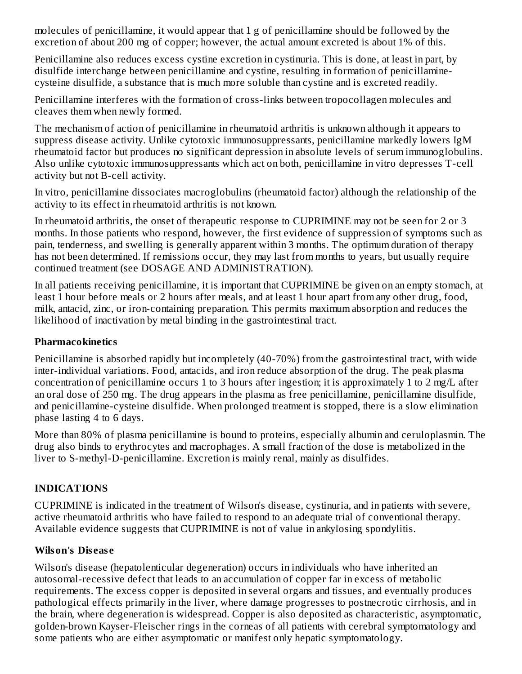molecules of penicillamine, it would appear that 1 g of penicillamine should be followed by the excretion of about 200 mg of copper; however, the actual amount excreted is about 1% of this.

Penicillamine also reduces excess cystine excretion in cystinuria. This is done, at least in part, by disulfide interchange between penicillamine and cystine, resulting in formation of penicillaminecysteine disulfide, a substance that is much more soluble than cystine and is excreted readily.

Penicillamine interferes with the formation of cross-links between tropocollagen molecules and cleaves them when newly formed.

The mechanism of action of penicillamine in rheumatoid arthritis is unknown although it appears to suppress disease activity. Unlike cytotoxic immunosuppressants, penicillamine markedly lowers IgM rheumatoid factor but produces no significant depression in absolute levels of serum immunoglobulins. Also unlike cytotoxic immunosuppressants which act on both, penicillamine in vitro depresses T-cell activity but not B-cell activity.

In vitro, penicillamine dissociates macroglobulins (rheumatoid factor) although the relationship of the activity to its effect in rheumatoid arthritis is not known.

In rheumatoid arthritis, the onset of therapeutic response to CUPRIMINE may not be seen for 2 or 3 months. In those patients who respond, however, the first evidence of suppression of symptoms such as pain, tenderness, and swelling is generally apparent within 3 months. The optimum duration of therapy has not been determined. If remissions occur, they may last from months to years, but usually require continued treatment (see DOSAGE AND ADMINISTRATION).

In all patients receiving penicillamine, it is important that CUPRIMINE be given on an empty stomach, at least 1 hour before meals or 2 hours after meals, and at least 1 hour apart from any other drug, food, milk, antacid, zinc, or iron-containing preparation. This permits maximum absorption and reduces the likelihood of inactivation by metal binding in the gastrointestinal tract.

### **Pharmacokinetics**

Penicillamine is absorbed rapidly but incompletely (40-70%) from the gastrointestinal tract, with wide inter-individual variations. Food, antacids, and iron reduce absorption of the drug. The peak plasma concentration of penicillamine occurs 1 to 3 hours after ingestion; it is approximately 1 to 2 mg/L after an oral dose of 250 mg. The drug appears in the plasma as free penicillamine, penicillamine disulfide, and penicillamine-cysteine disulfide. When prolonged treatment is stopped, there is a slow elimination phase lasting 4 to 6 days.

More than 80% of plasma penicillamine is bound to proteins, especially albumin and ceruloplasmin. The drug also binds to erythrocytes and macrophages. A small fraction of the dose is metabolized in the liver to S-methyl-D-penicillamine. Excretion is mainly renal, mainly as disulfides.

### **INDICATIONS**

CUPRIMINE is indicated in the treatment of Wilson's disease, cystinuria, and in patients with severe, active rheumatoid arthritis who have failed to respond to an adequate trial of conventional therapy. Available evidence suggests that CUPRIMINE is not of value in ankylosing spondylitis.

### **Wilson's Dis eas e**

Wilson's disease (hepatolenticular degeneration) occurs in individuals who have inherited an autosomal-recessive defect that leads to an accumulation of copper far in excess of metabolic requirements. The excess copper is deposited in several organs and tissues, and eventually produces pathological effects primarily in the liver, where damage progresses to postnecrotic cirrhosis, and in the brain, where degeneration is widespread. Copper is also deposited as characteristic, asymptomatic, golden-brown Kayser-Fleischer rings in the corneas of all patients with cerebral symptomatology and some patients who are either asymptomatic or manifest only hepatic symptomatology.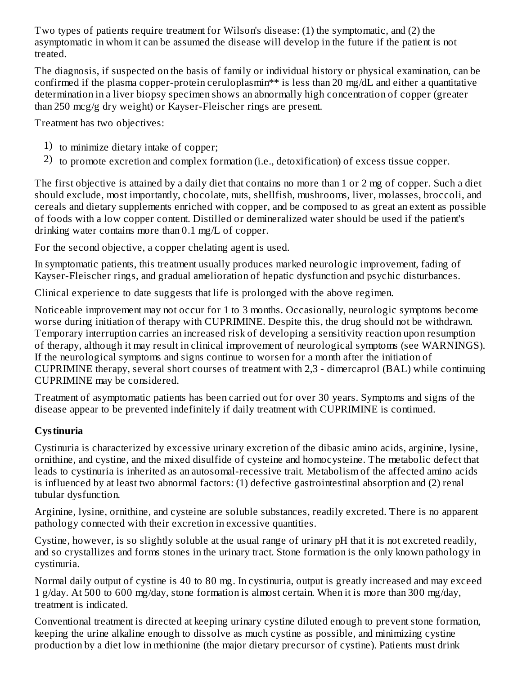Two types of patients require treatment for Wilson's disease: (1) the symptomatic, and (2) the asymptomatic in whom it can be assumed the disease will develop in the future if the patient is not treated.

The diagnosis, if suspected on the basis of family or individual history or physical examination, can be confirmed if the plasma copper-protein ceruloplasmin\*\* is less than 20 mg/dL and either a quantitative determination in a liver biopsy specimen shows an abnormally high concentration of copper (greater than 250 mcg/g dry weight) or Kayser-Fleischer rings are present.

Treatment has two objectives:

- 1) to minimize dietary intake of copper;
- 2) to promote excretion and complex formation (i.e., detoxification) of excess tissue copper.

The first objective is attained by a daily diet that contains no more than 1 or 2 mg of copper. Such a diet should exclude, most importantly, chocolate, nuts, shellfish, mushrooms, liver, molasses, broccoli, and cereals and dietary supplements enriched with copper, and be composed to as great an extent as possible of foods with a low copper content. Distilled or demineralized water should be used if the patient's drinking water contains more than 0.1 mg/L of copper.

For the second objective, a copper chelating agent is used.

In symptomatic patients, this treatment usually produces marked neurologic improvement, fading of Kayser-Fleischer rings, and gradual amelioration of hepatic dysfunction and psychic disturbances.

Clinical experience to date suggests that life is prolonged with the above regimen.

Noticeable improvement may not occur for 1 to 3 months. Occasionally, neurologic symptoms become worse during initiation of therapy with CUPRIMINE. Despite this, the drug should not be withdrawn. Temporary interruption carries an increased risk of developing a sensitivity reaction upon resumption of therapy, although it may result in clinical improvement of neurological symptoms (see WARNINGS). If the neurological symptoms and signs continue to worsen for a month after the initiation of CUPRIMINE therapy, several short courses of treatment with 2,3 - dimercaprol (BAL) while continuing CUPRIMINE may be considered.

Treatment of asymptomatic patients has been carried out for over 30 years. Symptoms and signs of the disease appear to be prevented indefinitely if daily treatment with CUPRIMINE is continued.

## **Cystinuria**

Cystinuria is characterized by excessive urinary excretion of the dibasic amino acids, arginine, lysine, ornithine, and cystine, and the mixed disulfide of cysteine and homocysteine. The metabolic defect that leads to cystinuria is inherited as an autosomal-recessive trait. Metabolism of the affected amino acids is influenced by at least two abnormal factors: (1) defective gastrointestinal absorption and (2) renal tubular dysfunction.

Arginine, lysine, ornithine, and cysteine are soluble substances, readily excreted. There is no apparent pathology connected with their excretion in excessive quantities.

Cystine, however, is so slightly soluble at the usual range of urinary pH that it is not excreted readily, and so crystallizes and forms stones in the urinary tract. Stone formation is the only known pathology in cystinuria.

Normal daily output of cystine is 40 to 80 mg. In cystinuria, output is greatly increased and may exceed 1 g/day. At 500 to 600 mg/day, stone formation is almost certain. When it is more than 300 mg/day, treatment is indicated.

Conventional treatment is directed at keeping urinary cystine diluted enough to prevent stone formation, keeping the urine alkaline enough to dissolve as much cystine as possible, and minimizing cystine production by a diet low in methionine (the major dietary precursor of cystine). Patients must drink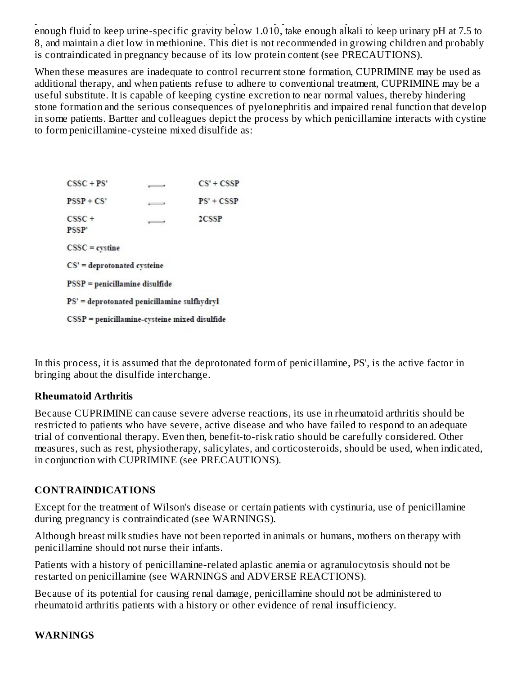production by a diet low in methionine (the major dietary precursor of cystine). Patients must drink enough fluid to keep urine-specific gravity below 1.010, take enough alkali to keep urinary pH at 7.5 to 8, and maintain a diet low in methionine. This diet is not recommended in growing children and probably is contraindicated in pregnancy because of its low protein content (see PRECAUTIONS).

When these measures are inadequate to control recurrent stone formation, CUPRIMINE may be used as additional therapy, and when patients refuse to adhere to conventional treatment, CUPRIMINE may be a useful substitute. It is capable of keeping cystine excretion to near normal values, thereby hindering stone formation and the serious consequences of pyelonephritis and impaired renal function that develop in some patients. Bartter and colleagues depict the process by which penicillamine interacts with cystine to form penicillamine-cysteine mixed disulfide as:

| $CSSC + PS'$                                    | $\overline{ }$ | $CS' + CSSP$ |
|-------------------------------------------------|----------------|--------------|
| $PSSP + CS'$                                    | $\sim$         | $PS' + CSSP$ |
| $\csc$ +<br><b>PSSP'</b>                        | $\sim$         | 2CSSP        |
| $CSSC = \text{cystine}$                         |                |              |
| $CS' = deprotonated$ cysteine                   |                |              |
| $PSSP = penicillamine disulfide$                |                |              |
| PS' = deprotonated penicillamine sulfhydryl     |                |              |
| $CSSP = penicillamine-cysteine mixed disulfide$ |                |              |

In this process, it is assumed that the deprotonated form of penicillamine, PS', is the active factor in bringing about the disulfide interchange.

### **Rheumatoid Arthritis**

Because CUPRIMINE can cause severe adverse reactions, its use in rheumatoid arthritis should be restricted to patients who have severe, active disease and who have failed to respond to an adequate trial of conventional therapy. Even then, benefit-to-risk ratio should be carefully considered. Other measures, such as rest, physiotherapy, salicylates, and corticosteroids, should be used, when indicated, in conjunction with CUPRIMINE (see PRECAUTIONS).

## **CONTRAINDICATIONS**

Except for the treatment of Wilson's disease or certain patients with cystinuria, use of penicillamine during pregnancy is contraindicated (see WARNINGS).

Although breast milk studies have not been reported in animals or humans, mothers on therapy with penicillamine should not nurse their infants.

Patients with a history of penicillamine-related aplastic anemia or agranulocytosis should not be restarted on penicillamine (see WARNINGS and ADVERSE REACTIONS).

Because of its potential for causing renal damage, penicillamine should not be administered to rheumatoid arthritis patients with a history or other evidence of renal insufficiency.

### **WARNINGS**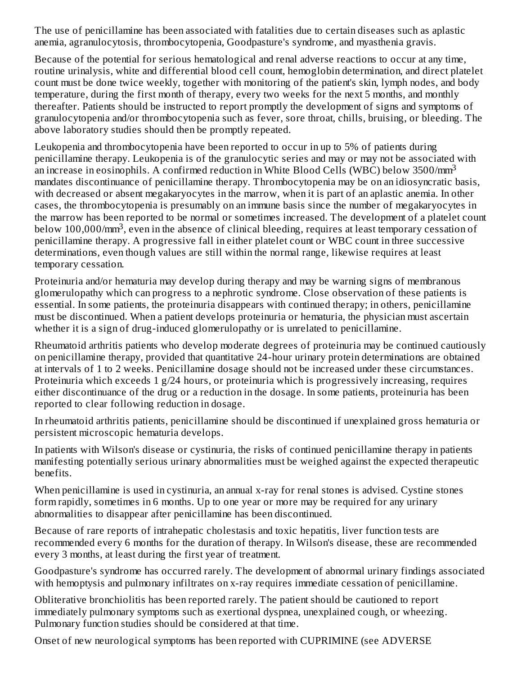The use of penicillamine has been associated with fatalities due to certain diseases such as aplastic anemia, agranulocytosis, thrombocytopenia, Goodpasture's syndrome, and myasthenia gravis.

Because of the potential for serious hematological and renal adverse reactions to occur at any time, routine urinalysis, white and differential blood cell count, hemoglobin determination, and direct platelet count must be done twice weekly, together with monitoring of the patient's skin, lymph nodes, and body temperature, during the first month of therapy, every two weeks for the next 5 months, and monthly thereafter. Patients should be instructed to report promptly the development of signs and symptoms of granulocytopenia and/or thrombocytopenia such as fever, sore throat, chills, bruising, or bleeding. The above laboratory studies should then be promptly repeated.

Leukopenia and thrombocytopenia have been reported to occur in up to 5% of patients during penicillamine therapy. Leukopenia is of the granulocytic series and may or may not be associated with an increase in eosinophils. A confirmed reduction in White Blood Cells (WBC) below 3500/mm<sup>3</sup> mandates discontinuance of penicillamine therapy. Thrombocytopenia may be on an idiosyncratic basis, with decreased or absent megakaryocytes in the marrow, when it is part of an aplastic anemia. In other cases, the thrombocytopenia is presumably on an immune basis since the number of megakaryocytes in the marrow has been reported to be normal or sometimes increased. The development of a platelet count below 100,000/mm<sup>3</sup>, even in the absence of clinical bleeding, requires at least temporary cessation of penicillamine therapy. A progressive fall in either platelet count or WBC count in three successive determinations, even though values are still within the normal range, likewise requires at least temporary cessation.

Proteinuria and/or hematuria may develop during therapy and may be warning signs of membranous glomerulopathy which can progress to a nephrotic syndrome. Close observation of these patients is essential. In some patients, the proteinuria disappears with continued therapy; in others, penicillamine must be discontinued. When a patient develops proteinuria or hematuria, the physician must ascertain whether it is a sign of drug-induced glomerulopathy or is unrelated to penicillamine.

Rheumatoid arthritis patients who develop moderate degrees of proteinuria may be continued cautiously on penicillamine therapy, provided that quantitative 24-hour urinary protein determinations are obtained at intervals of 1 to 2 weeks. Penicillamine dosage should not be increased under these circumstances. Proteinuria which exceeds 1 g/24 hours, or proteinuria which is progressively increasing, requires either discontinuance of the drug or a reduction in the dosage. In some patients, proteinuria has been reported to clear following reduction in dosage.

In rheumatoid arthritis patients, penicillamine should be discontinued if unexplained gross hematuria or persistent microscopic hematuria develops.

In patients with Wilson's disease or cystinuria, the risks of continued penicillamine therapy in patients manifesting potentially serious urinary abnormalities must be weighed against the expected therapeutic benefits.

When penicillamine is used in cystinuria, an annual x-ray for renal stones is advised. Cystine stones form rapidly, sometimes in 6 months. Up to one year or more may be required for any urinary abnormalities to disappear after penicillamine has been discontinued.

Because of rare reports of intrahepatic cholestasis and toxic hepatitis, liver function tests are recommended every 6 months for the duration of therapy. In Wilson's disease, these are recommended every 3 months, at least during the first year of treatment.

Goodpasture's syndrome has occurred rarely. The development of abnormal urinary findings associated with hemoptysis and pulmonary infiltrates on x-ray requires immediate cessation of penicillamine.

Obliterative bronchiolitis has been reported rarely. The patient should be cautioned to report immediately pulmonary symptoms such as exertional dyspnea, unexplained cough, or wheezing. Pulmonary function studies should be considered at that time.

Onset of new neurological symptoms has been reported with CUPRIMINE (see ADVERSE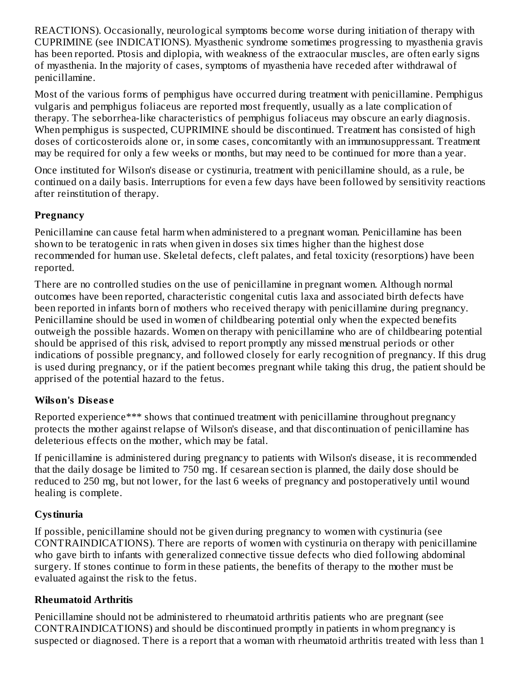REACTIONS). Occasionally, neurological symptoms become worse during initiation of therapy with CUPRIMINE (see INDICATIONS). Myasthenic syndrome sometimes progressing to myasthenia gravis has been reported. Ptosis and diplopia, with weakness of the extraocular muscles, are often early signs of myasthenia. In the majority of cases, symptoms of myasthenia have receded after withdrawal of penicillamine.

Most of the various forms of pemphigus have occurred during treatment with penicillamine. Pemphigus vulgaris and pemphigus foliaceus are reported most frequently, usually as a late complication of therapy. The seborrhea-like characteristics of pemphigus foliaceus may obscure an early diagnosis. When pemphigus is suspected, CUPRIMINE should be discontinued. Treatment has consisted of high doses of corticosteroids alone or, in some cases, concomitantly with an immunosuppressant. Treatment may be required for only a few weeks or months, but may need to be continued for more than a year.

Once instituted for Wilson's disease or cystinuria, treatment with penicillamine should, as a rule, be continued on a daily basis. Interruptions for even a few days have been followed by sensitivity reactions after reinstitution of therapy.

## **Pregnancy**

Penicillamine can cause fetal harm when administered to a pregnant woman. Penicillamine has been shown to be teratogenic in rats when given in doses six times higher than the highest dose recommended for human use. Skeletal defects, cleft palates, and fetal toxicity (resorptions) have been reported.

There are no controlled studies on the use of penicillamine in pregnant women. Although normal outcomes have been reported, characteristic congenital cutis laxa and associated birth defects have been reported in infants born of mothers who received therapy with penicillamine during pregnancy. Penicillamine should be used in women of childbearing potential only when the expected benefits outweigh the possible hazards. Women on therapy with penicillamine who are of childbearing potential should be apprised of this risk, advised to report promptly any missed menstrual periods or other indications of possible pregnancy, and followed closely for early recognition of pregnancy. If this drug is used during pregnancy, or if the patient becomes pregnant while taking this drug, the patient should be apprised of the potential hazard to the fetus.

## **Wilson's Dis eas e**

Reported experience\*\*\* shows that continued treatment with penicillamine throughout pregnancy protects the mother against relapse of Wilson's disease, and that discontinuation of penicillamine has deleterious effects on the mother, which may be fatal.

If penicillamine is administered during pregnancy to patients with Wilson's disease, it is recommended that the daily dosage be limited to 750 mg. If cesarean section is planned, the daily dose should be reduced to 250 mg, but not lower, for the last 6 weeks of pregnancy and postoperatively until wound healing is complete.

## **Cystinuria**

If possible, penicillamine should not be given during pregnancy to women with cystinuria (see CONTRAINDICATIONS). There are reports of women with cystinuria on therapy with penicillamine who gave birth to infants with generalized connective tissue defects who died following abdominal surgery. If stones continue to form in these patients, the benefits of therapy to the mother must be evaluated against the risk to the fetus.

## **Rheumatoid Arthritis**

Penicillamine should not be administered to rheumatoid arthritis patients who are pregnant (see CONTRAINDICATIONS) and should be discontinued promptly in patients in whom pregnancy is suspected or diagnosed. There is a report that a woman with rheumatoid arthritis treated with less than 1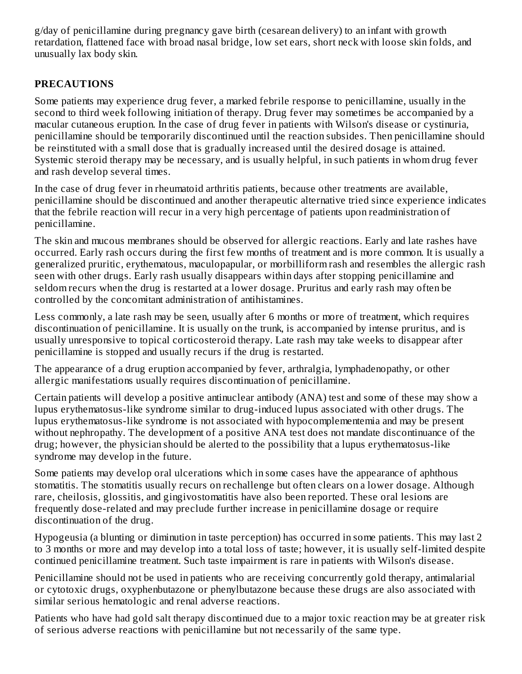g/day of penicillamine during pregnancy gave birth (cesarean delivery) to an infant with growth retardation, flattened face with broad nasal bridge, low set ears, short neck with loose skin folds, and unusually lax body skin.

# **PRECAUTIONS**

Some patients may experience drug fever, a marked febrile response to penicillamine, usually in the second to third week following initiation of therapy. Drug fever may sometimes be accompanied by a macular cutaneous eruption. In the case of drug fever in patients with Wilson's disease or cystinuria, penicillamine should be temporarily discontinued until the reaction subsides. Then penicillamine should be reinstituted with a small dose that is gradually increased until the desired dosage is attained. Systemic steroid therapy may be necessary, and is usually helpful, in such patients in whom drug fever and rash develop several times.

In the case of drug fever in rheumatoid arthritis patients, because other treatments are available, penicillamine should be discontinued and another therapeutic alternative tried since experience indicates that the febrile reaction will recur in a very high percentage of patients upon readministration of penicillamine.

The skin and mucous membranes should be observed for allergic reactions. Early and late rashes have occurred. Early rash occurs during the first few months of treatment and is more common. It is usually a generalized pruritic, erythematous, maculopapular, or morbilliform rash and resembles the allergic rash seen with other drugs. Early rash usually disappears within days after stopping penicillamine and seldom recurs when the drug is restarted at a lower dosage. Pruritus and early rash may often be controlled by the concomitant administration of antihistamines.

Less commonly, a late rash may be seen, usually after 6 months or more of treatment, which requires discontinuation of penicillamine. It is usually on the trunk, is accompanied by intense pruritus, and is usually unresponsive to topical corticosteroid therapy. Late rash may take weeks to disappear after penicillamine is stopped and usually recurs if the drug is restarted.

The appearance of a drug eruption accompanied by fever, arthralgia, lymphadenopathy, or other allergic manifestations usually requires discontinuation of penicillamine.

Certain patients will develop a positive antinuclear antibody (ANA) test and some of these may show a lupus erythematosus-like syndrome similar to drug-induced lupus associated with other drugs. The lupus erythematosus-like syndrome is not associated with hypocomplementemia and may be present without nephropathy. The development of a positive ANA test does not mandate discontinuance of the drug; however, the physician should be alerted to the possibility that a lupus erythematosus-like syndrome may develop in the future.

Some patients may develop oral ulcerations which in some cases have the appearance of aphthous stomatitis. The stomatitis usually recurs on rechallenge but often clears on a lower dosage. Although rare, cheilosis, glossitis, and gingivostomatitis have also been reported. These oral lesions are frequently dose-related and may preclude further increase in penicillamine dosage or require discontinuation of the drug.

Hypogeusia (a blunting or diminution in taste perception) has occurred in some patients. This may last 2 to 3 months or more and may develop into a total loss of taste; however, it is usually self-limited despite continued penicillamine treatment. Such taste impairment is rare in patients with Wilson's disease.

Penicillamine should not be used in patients who are receiving concurrently gold therapy, antimalarial or cytotoxic drugs, oxyphenbutazone or phenylbutazone because these drugs are also associated with similar serious hematologic and renal adverse reactions.

Patients who have had gold salt therapy discontinued due to a major toxic reaction may be at greater risk of serious adverse reactions with penicillamine but not necessarily of the same type.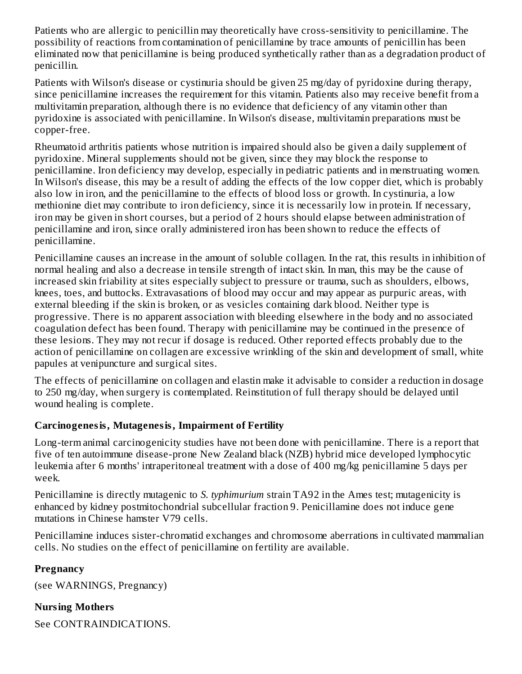Patients who are allergic to penicillin may theoretically have cross-sensitivity to penicillamine. The possibility of reactions from contamination of penicillamine by trace amounts of penicillin has been eliminated now that penicillamine is being produced synthetically rather than as a degradation product of penicillin.

Patients with Wilson's disease or cystinuria should be given 25 mg/day of pyridoxine during therapy, since penicillamine increases the requirement for this vitamin. Patients also may receive benefit from a multivitamin preparation, although there is no evidence that deficiency of any vitamin other than pyridoxine is associated with penicillamine. In Wilson's disease, multivitamin preparations must be copper-free.

Rheumatoid arthritis patients whose nutrition is impaired should also be given a daily supplement of pyridoxine. Mineral supplements should not be given, since they may block the response to penicillamine. Iron deficiency may develop, especially in pediatric patients and in menstruating women. In Wilson's disease, this may be a result of adding the effects of the low copper diet, which is probably also low in iron, and the penicillamine to the effects of blood loss or growth. In cystinuria, a low methionine diet may contribute to iron deficiency, since it is necessarily low in protein. If necessary, iron may be given in short courses, but a period of 2 hours should elapse between administration of penicillamine and iron, since orally administered iron has been shown to reduce the effects of penicillamine.

Penicillamine causes an increase in the amount of soluble collagen. In the rat, this results in inhibition of normal healing and also a decrease in tensile strength of intact skin. In man, this may be the cause of increased skin friability at sites especially subject to pressure or trauma, such as shoulders, elbows, knees, toes, and buttocks. Extravasations of blood may occur and may appear as purpuric areas, with external bleeding if the skin is broken, or as vesicles containing dark blood. Neither type is progressive. There is no apparent association with bleeding elsewhere in the body and no associated coagulation defect has been found. Therapy with penicillamine may be continued in the presence of these lesions. They may not recur if dosage is reduced. Other reported effects probably due to the action of penicillamine on collagen are excessive wrinkling of the skin and development of small, white papules at venipuncture and surgical sites.

The effects of penicillamine on collagen and elastin make it advisable to consider a reduction in dosage to 250 mg/day, when surgery is contemplated. Reinstitution of full therapy should be delayed until wound healing is complete.

## **Carcinogenesis, Mutagenesis, Impairment of Fertility**

Long-term animal carcinogenicity studies have not been done with penicillamine. There is a report that five of ten autoimmune disease-prone New Zealand black (NZB) hybrid mice developed lymphocytic leukemia after 6 months' intraperitoneal treatment with a dose of 400 mg/kg penicillamine 5 days per week.

Penicillamine is directly mutagenic to *S. typhimurium* strain TA92 in the Ames test; mutagenicity is enhanced by kidney postmitochondrial subcellular fraction 9. Penicillamine does not induce gene mutations in Chinese hamster V79 cells.

Penicillamine induces sister-chromatid exchanges and chromosome aberrations in cultivated mammalian cells. No studies on the effect of penicillamine on fertility are available.

## **Pregnancy**

(see WARNINGS, Pregnancy)

## **Nursing Mothers**

See CONTRAINDICATIONS.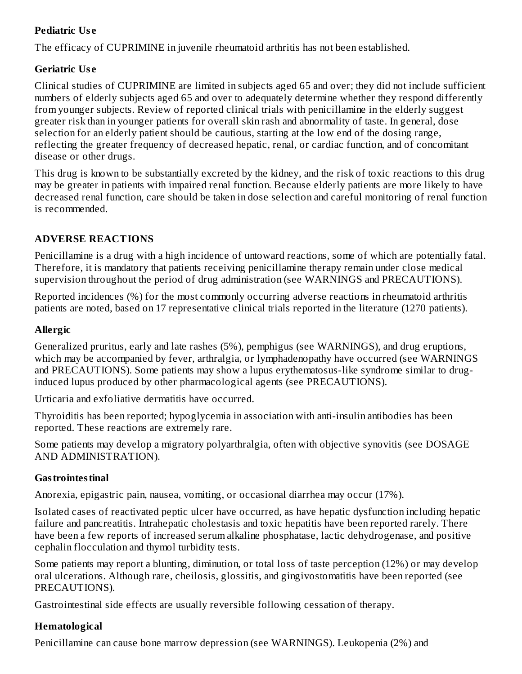## **Pediatric Us e**

The efficacy of CUPRIMINE in juvenile rheumatoid arthritis has not been established.

## **Geriatric Us e**

Clinical studies of CUPRIMINE are limited in subjects aged 65 and over; they did not include sufficient numbers of elderly subjects aged 65 and over to adequately determine whether they respond differently from younger subjects. Review of reported clinical trials with penicillamine in the elderly suggest greater risk than in younger patients for overall skin rash and abnormality of taste. In general, dose selection for an elderly patient should be cautious, starting at the low end of the dosing range, reflecting the greater frequency of decreased hepatic, renal, or cardiac function, and of concomitant disease or other drugs.

This drug is known to be substantially excreted by the kidney, and the risk of toxic reactions to this drug may be greater in patients with impaired renal function. Because elderly patients are more likely to have decreased renal function, care should be taken in dose selection and careful monitoring of renal function is recommended.

# **ADVERSE REACTIONS**

Penicillamine is a drug with a high incidence of untoward reactions, some of which are potentially fatal. Therefore, it is mandatory that patients receiving penicillamine therapy remain under close medical supervision throughout the period of drug administration (see WARNINGS and PRECAUTIONS).

Reported incidences (%) for the most commonly occurring adverse reactions in rheumatoid arthritis patients are noted, based on 17 representative clinical trials reported in the literature (1270 patients).

# **Allergic**

Generalized pruritus, early and late rashes (5%), pemphigus (see WARNINGS), and drug eruptions, which may be accompanied by fever, arthralgia, or lymphadenopathy have occurred (see WARNINGS and PRECAUTIONS). Some patients may show a lupus erythematosus-like syndrome similar to druginduced lupus produced by other pharmacological agents (see PRECAUTIONS).

Urticaria and exfoliative dermatitis have occurred.

Thyroiditis has been reported; hypoglycemia in association with anti-insulin antibodies has been reported. These reactions are extremely rare.

Some patients may develop a migratory polyarthralgia, often with objective synovitis (see DOSAGE AND ADMINISTRATION).

## **Gastrointestinal**

Anorexia, epigastric pain, nausea, vomiting, or occasional diarrhea may occur (17%).

Isolated cases of reactivated peptic ulcer have occurred, as have hepatic dysfunction including hepatic failure and pancreatitis. Intrahepatic cholestasis and toxic hepatitis have been reported rarely. There have been a few reports of increased serum alkaline phosphatase, lactic dehydrogenase, and positive cephalin flocculation and thymol turbidity tests.

Some patients may report a blunting, diminution, or total loss of taste perception (12%) or may develop oral ulcerations. Although rare, cheilosis, glossitis, and gingivostomatitis have been reported (see PRECAUTIONS).

Gastrointestinal side effects are usually reversible following cessation of therapy.

## **Hematological**

Penicillamine can cause bone marrow depression (see WARNINGS). Leukopenia (2%) and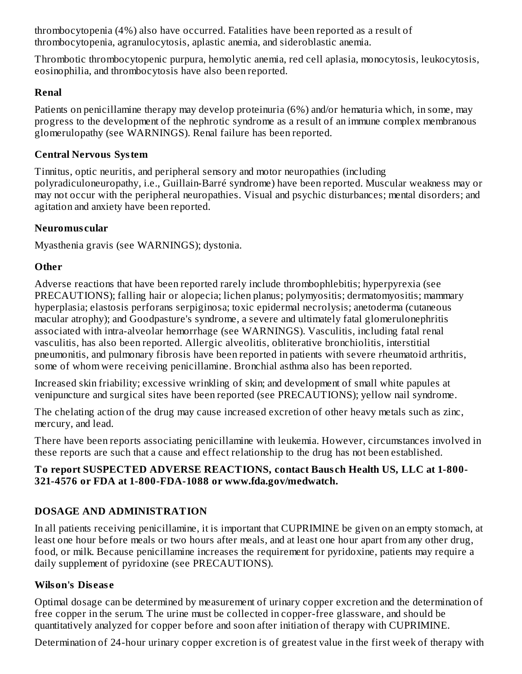thrombocytopenia (4%) also have occurred. Fatalities have been reported as a result of thrombocytopenia, agranulocytosis, aplastic anemia, and sideroblastic anemia.

Thrombotic thrombocytopenic purpura, hemolytic anemia, red cell aplasia, monocytosis, leukocytosis, eosinophilia, and thrombocytosis have also been reported.

## **Renal**

Patients on penicillamine therapy may develop proteinuria (6%) and/or hematuria which, in some, may progress to the development of the nephrotic syndrome as a result of an immune complex membranous glomerulopathy (see WARNINGS). Renal failure has been reported.

## **Central Nervous System**

Tinnitus, optic neuritis, and peripheral sensory and motor neuropathies (including polyradiculoneuropathy, i.e., Guillain-Barré syndrome) have been reported. Muscular weakness may or may not occur with the peripheral neuropathies. Visual and psychic disturbances; mental disorders; and agitation and anxiety have been reported.

## **Neuromus cular**

Myasthenia gravis (see WARNINGS); dystonia.

## **Other**

Adverse reactions that have been reported rarely include thrombophlebitis; hyperpyrexia (see PRECAUTIONS); falling hair or alopecia; lichen planus; polymyositis; dermatomyositis; mammary hyperplasia; elastosis perforans serpiginosa; toxic epidermal necrolysis; anetoderma (cutaneous macular atrophy); and Goodpasture's syndrome, a severe and ultimately fatal glomerulonephritis associated with intra-alveolar hemorrhage (see WARNINGS). Vasculitis, including fatal renal vasculitis, has also been reported. Allergic alveolitis, obliterative bronchiolitis, interstitial pneumonitis, and pulmonary fibrosis have been reported in patients with severe rheumatoid arthritis, some of whom were receiving penicillamine. Bronchial asthma also has been reported.

Increased skin friability; excessive wrinkling of skin; and development of small white papules at venipuncture and surgical sites have been reported (see PRECAUTIONS); yellow nail syndrome.

The chelating action of the drug may cause increased excretion of other heavy metals such as zinc, mercury, and lead.

There have been reports associating penicillamine with leukemia. However, circumstances involved in these reports are such that a cause and effect relationship to the drug has not been established.

### **To report SUSPECTED ADVERSE REACTIONS, contact Baus ch Health US, LLC at 1-800- 321-4576 or FDA at 1-800-FDA-1088 or www.fda.gov/medwatch.**

## **DOSAGE AND ADMINISTRATION**

In all patients receiving penicillamine, it is important that CUPRIMINE be given on an empty stomach, at least one hour before meals or two hours after meals, and at least one hour apart from any other drug, food, or milk. Because penicillamine increases the requirement for pyridoxine, patients may require a daily supplement of pyridoxine (see PRECAUTIONS).

## **Wilson's Dis eas e**

Optimal dosage can be determined by measurement of urinary copper excretion and the determination of free copper in the serum. The urine must be collected in copper-free glassware, and should be quantitatively analyzed for copper before and soon after initiation of therapy with CUPRIMINE.

Determination of 24-hour urinary copper excretion is of greatest value in the first week of therapy with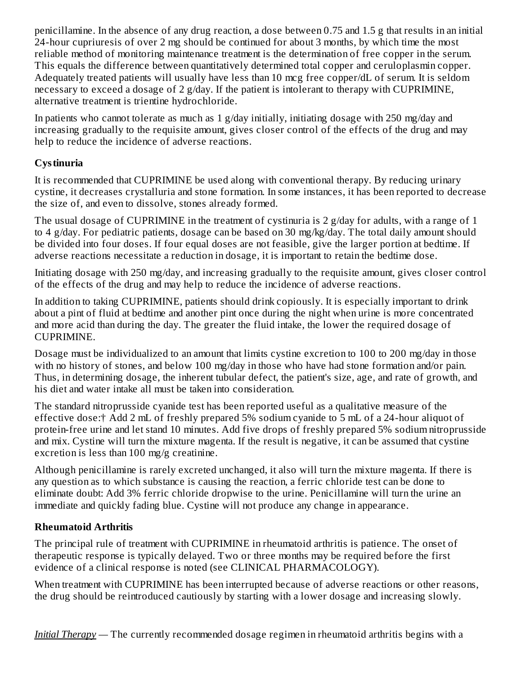penicillamine. In the absence of any drug reaction, a dose between 0.75 and 1.5 g that results in an initial 24-hour cupriuresis of over 2 mg should be continued for about 3 months, by which time the most reliable method of monitoring maintenance treatment is the determination of free copper in the serum. This equals the difference between quantitatively determined total copper and ceruloplasmin copper. Adequately treated patients will usually have less than 10 mcg free copper/dL of serum. It is seldom necessary to exceed a dosage of 2 g/day. If the patient is intolerant to therapy with CUPRIMINE, alternative treatment is trientine hydrochloride.

In patients who cannot tolerate as much as 1 g/day initially, initiating dosage with 250 mg/day and increasing gradually to the requisite amount, gives closer control of the effects of the drug and may help to reduce the incidence of adverse reactions.

# **Cystinuria**

It is recommended that CUPRIMINE be used along with conventional therapy. By reducing urinary cystine, it decreases crystalluria and stone formation. In some instances, it has been reported to decrease the size of, and even to dissolve, stones already formed.

The usual dosage of CUPRIMINE in the treatment of cystinuria is 2 g/day for adults, with a range of 1 to 4 g/day. For pediatric patients, dosage can be based on 30 mg/kg/day. The total daily amount should be divided into four doses. If four equal doses are not feasible, give the larger portion at bedtime. If adverse reactions necessitate a reduction in dosage, it is important to retain the bedtime dose.

Initiating dosage with 250 mg/day, and increasing gradually to the requisite amount, gives closer control of the effects of the drug and may help to reduce the incidence of adverse reactions.

In addition to taking CUPRIMINE, patients should drink copiously. It is especially important to drink about a pint of fluid at bedtime and another pint once during the night when urine is more concentrated and more acid than during the day. The greater the fluid intake, the lower the required dosage of CUPRIMINE.

Dosage must be individualized to an amount that limits cystine excretion to 100 to 200 mg/day in those with no history of stones, and below 100 mg/day in those who have had stone formation and/or pain. Thus, in determining dosage, the inherent tubular defect, the patient's size, age, and rate of growth, and his diet and water intake all must be taken into consideration.

The standard nitroprusside cyanide test has been reported useful as a qualitative measure of the effective dose:† Add 2 mL of freshly prepared 5% sodium cyanide to 5 mL of a 24-hour aliquot of protein-free urine and let stand 10 minutes. Add five drops of freshly prepared 5% sodium nitroprusside and mix. Cystine will turn the mixture magenta. If the result is negative, it can be assumed that cystine excretion is less than 100 mg/g creatinine.

Although penicillamine is rarely excreted unchanged, it also will turn the mixture magenta. If there is any question as to which substance is causing the reaction, a ferric chloride test can be done to eliminate doubt: Add 3% ferric chloride dropwise to the urine. Penicillamine will turn the urine an immediate and quickly fading blue. Cystine will not produce any change in appearance.

# **Rheumatoid Arthritis**

The principal rule of treatment with CUPRIMINE in rheumatoid arthritis is patience. The onset of therapeutic response is typically delayed. Two or three months may be required before the first evidence of a clinical response is noted (see CLINICAL PHARMACOLOGY).

When treatment with CUPRIMINE has been interrupted because of adverse reactions or other reasons, the drug should be reintroduced cautiously by starting with a lower dosage and increasing slowly.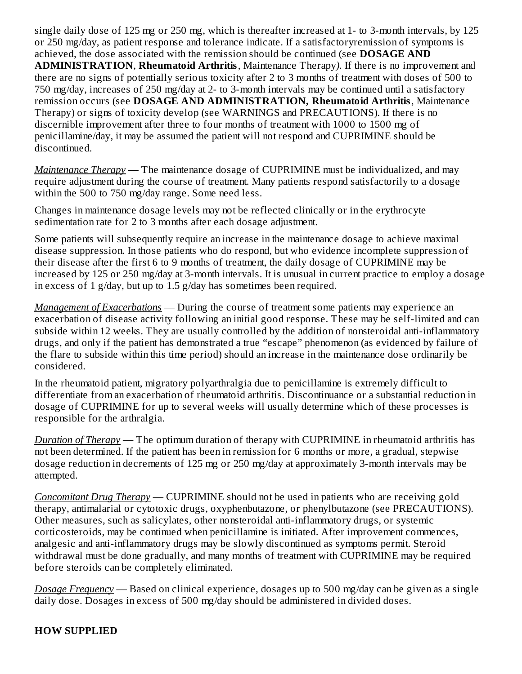single daily dose of 125 mg or 250 mg, which is thereafter increased at 1- to 3-month intervals, by 125 or 250 mg/day, as patient response and tolerance indicate. If a satisfactoryremission of symptoms is achieved, the dose associated with the remission should be continued (see **DOSAGE AND ADMINISTRATION**, **Rheumatoid Arthritis**, Maintenance Therapy*).* If there is no improvement and there are no signs of potentially serious toxicity after 2 to 3 months of treatment with doses of 500 to 750 mg/day, increases of 250 mg/day at 2- to 3-month intervals may be continued until a satisfactory remission occurs (see **DOSAGE AND ADMINISTRATION, Rheumatoid Arthritis**, Maintenance Therapy) or signs of toxicity develop (see WARNINGS and PRECAUTIONS). If there is no discernible improvement after three to four months of treatment with 1000 to 1500 mg of penicillamine/day, it may be assumed the patient will not respond and CUPRIMINE should be discontinued.

*Maintenance Therapy* — The maintenance dosage of CUPRIMINE must be individualized, and may require adjustment during the course of treatment. Many patients respond satisfactorily to a dosage within the 500 to 750 mg/day range. Some need less.

Changes in maintenance dosage levels may not be reflected clinically or in the erythrocyte sedimentation rate for 2 to 3 months after each dosage adjustment.

Some patients will subsequently require an increase in the maintenance dosage to achieve maximal disease suppression. In those patients who do respond, but who evidence incomplete suppression of their disease after the first 6 to 9 months of treatment, the daily dosage of CUPRIMINE may be increased by 125 or 250 mg/day at 3-month intervals. It is unusual in current practice to employ a dosage in excess of 1 g/day, but up to 1.5 g/day has sometimes been required.

*Management of Exacerbations* — During the course of treatment some patients may experience an exacerbation of disease activity following an initial good response. These may be self-limited and can subside within 12 weeks. They are usually controlled by the addition of nonsteroidal anti-inflammatory drugs, and only if the patient has demonstrated a true "escape" phenomenon (as evidenced by failure of the flare to subside within this time period) should an increase in the maintenance dose ordinarily be considered.

In the rheumatoid patient, migratory polyarthralgia due to penicillamine is extremely difficult to differentiate from an exacerbation of rheumatoid arthritis. Discontinuance or a substantial reduction in dosage of CUPRIMINE for up to several weeks will usually determine which of these processes is responsible for the arthralgia.

*Duration of Therapy* — The optimum duration of therapy with CUPRIMINE in rheumatoid arthritis has not been determined. If the patient has been in remission for 6 months or more, a gradual, stepwise dosage reduction in decrements of 125 mg or 250 mg/day at approximately 3-month intervals may be attempted.

*Concomitant Drug Therapy* — CUPRIMINE should not be used in patients who are receiving gold therapy, antimalarial or cytotoxic drugs, oxyphenbutazone, or phenylbutazone (see PRECAUTIONS). Other measures, such as salicylates, other nonsteroidal anti-inflammatory drugs, or systemic corticosteroids, may be continued when penicillamine is initiated. After improvement commences, analgesic and anti-inflammatory drugs may be slowly discontinued as symptoms permit. Steroid withdrawal must be done gradually, and many months of treatment with CUPRIMINE may be required before steroids can be completely eliminated.

*Dosage Frequency* — Based on clinical experience, dosages up to 500 mg/day can be given as a single daily dose. Dosages in excess of 500 mg/day should be administered in divided doses.

#### **HOW SUPPLIED**